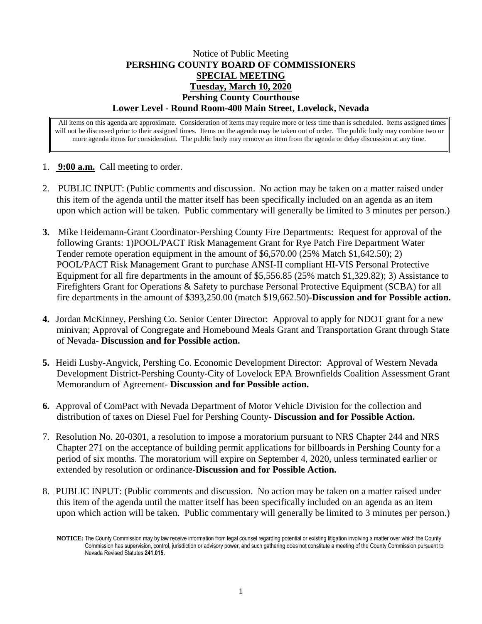## Notice of Public Meeting **PERSHING COUNTY BOARD OF COMMISSIONERS SPECIAL MEETING Tuesday, March 10, 2020 Pershing County Courthouse Lower Level - Round Room-400 Main Street, Lovelock, Nevada**

All items on this agenda are approximate. Consideration of items may require more or less time than is scheduled. Items assigned times will not be discussed prior to their assigned times. Items on the agenda may be taken out of order. The public body may combine two or more agenda items for consideration. The public body may remove an item from the agenda or delay discussion at any time.

- 1. **9:00 a.m.** Call meeting to order.
- 2. PUBLIC INPUT: (Public comments and discussion. No action may be taken on a matter raised under this item of the agenda until the matter itself has been specifically included on an agenda as an item upon which action will be taken. Public commentary will generally be limited to 3 minutes per person.)
- **3.** Mike Heidemann-Grant Coordinator-Pershing County Fire Departments: Request for approval of the following Grants: 1)POOL/PACT Risk Management Grant for Rye Patch Fire Department Water Tender remote operation equipment in the amount of \$6,570.00 (25% Match \$1,642.50); 2) POOL/PACT Risk Management Grant to purchase ANSI-II compliant HI-VIS Personal Protective Equipment for all fire departments in the amount of \$5,556.85 (25% match \$1,329.82); 3) Assistance to Firefighters Grant for Operations & Safety to purchase Personal Protective Equipment (SCBA) for all fire departments in the amount of \$393,250.00 (match \$19,662.50)-**Discussion and for Possible action.**
- **4.** Jordan McKinney, Pershing Co. Senior Center Director: Approval to apply for NDOT grant for a new minivan; Approval of Congregate and Homebound Meals Grant and Transportation Grant through State of Nevada- **Discussion and for Possible action.**
- **5.** Heidi Lusby-Angvick, Pershing Co. Economic Development Director: Approval of Western Nevada Development District-Pershing County-City of Lovelock EPA Brownfields Coalition Assessment Grant Memorandum of Agreement- **Discussion and for Possible action.**
- **6.** Approval of ComPact with Nevada Department of Motor Vehicle Division for the collection and distribution of taxes on Diesel Fuel for Pershing County- **Discussion and for Possible Action.**
- 7. Resolution No. 20-0301, a resolution to impose a moratorium pursuant to NRS Chapter 244 and NRS Chapter 271 on the acceptance of building permit applications for billboards in Pershing County for a period of six months. The moratorium will expire on September 4, 2020, unless terminated earlier or extended by resolution or ordinance-**Discussion and for Possible Action.**
- 8. PUBLIC INPUT: (Public comments and discussion. No action may be taken on a matter raised under this item of the agenda until the matter itself has been specifically included on an agenda as an item upon which action will be taken. Public commentary will generally be limited to 3 minutes per person.)

**NOTICE:** The County Commission may by law receive information from legal counsel regarding potential or existing litigation involving a matter over which the County Commission has supervision, control, jurisdiction or advisory power, and such gathering does not constitute a meeting of the County Commission pursuant to Nevada Revised Statutes **241.015.**